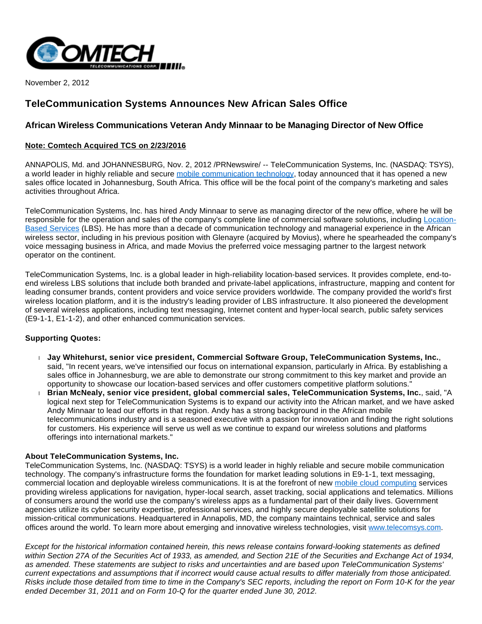

November 2, 2012

# **TeleCommunication Systems Announces New African Sales Office**

## **African Wireless Communications Veteran Andy Minnaar to be Managing Director of New Office**

### **Note: Comtech Acquired TCS on 2/23/2016**

ANNAPOLIS, Md. and JOHANNESBURG, Nov. 2, 2012 /PRNewswire/ -- TeleCommunication Systems, Inc. (NASDAQ: TSYS), a world leader in highly reliable and secure [mobile communication technology](http://www.telecomsys.com/), today announced that it has opened a new sales office located in Johannesburg, South Africa. This office will be the focal point of the company's marketing and sales activities throughout Africa.

TeleCommunication Systems, Inc. has hired Andy Minnaar to serve as managing director of the new office, where he will be responsible for the operation and sales of the company's complete line of commercial software solutions, including [Location-](http://www.telecomsys.com/products/location-based-services/default.aspx)[Based Services](http://www.telecomsys.com/products/location-based-services/default.aspx) (LBS). He has more than a decade of communication technology and managerial experience in the African wireless sector, including in his previous position with Glenayre (acquired by Movius), where he spearheaded the company's voice messaging business in Africa, and made Movius the preferred voice messaging partner to the largest network operator on the continent.

TeleCommunication Systems, Inc. is a global leader in high-reliability location-based services. It provides complete, end-toend wireless LBS solutions that include both branded and private-label applications, infrastructure, mapping and content for leading consumer brands, content providers and voice service providers worldwide. The company provided the world's first wireless location platform, and it is the industry's leading provider of LBS infrastructure. It also pioneered the development of several wireless applications, including text messaging, Internet content and hyper-local search, public safety services (E9-1-1, E1-1-2), and other enhanced communication services.

### **Supporting Quotes:**

- **Jay Whitehurst, senior vice president, Commercial Software Group, TeleCommunication Systems, Inc.**, said, "In recent years, we've intensified our focus on international expansion, particularly in Africa. By establishing a sales office in Johannesburg, we are able to demonstrate our strong commitment to this key market and provide an opportunity to showcase our location-based services and offer customers competitive platform solutions."
- **Brian McNealy, senior vice president, global commercial sales, TeleCommunication Systems, Inc.**, said, "A logical next step for TeleCommunication Systems is to expand our activity into the African market, and we have asked Andy Minnaar to lead our efforts in that region. Andy has a strong background in the African mobile telecommunications industry and is a seasoned executive with a passion for innovation and finding the right solutions for customers. His experience will serve us well as we continue to expand our wireless solutions and platforms offerings into international markets."

### **About TeleCommunication Systems, Inc.**

TeleCommunication Systems, Inc. (NASDAQ: TSYS) is a world leader in highly reliable and secure mobile communication technology. The company's infrastructure forms the foundation for market leading solutions in E9-1-1, text messaging, commercial location and deployable wireless communications. It is at the forefront of new [mobile cloud computing](http://www.telecomsys.com/) services providing wireless applications for navigation, hyper-local search, asset tracking, social applications and telematics. Millions of consumers around the world use the company's wireless apps as a fundamental part of their daily lives. Government agencies utilize its cyber security expertise, professional services, and highly secure deployable satellite solutions for mission-critical communications. Headquartered in Annapolis, MD, the company maintains technical, service and sales offices around the world. To learn more about emerging and innovative wireless technologies, visit [www.telecomsys.com](http://www.telecomsys.com/).

Except for the historical information contained herein, this news release contains forward-looking statements as defined within Section 27A of the Securities Act of 1933, as amended, and Section 21E of the Securities and Exchange Act of 1934, as amended. These statements are subject to risks and uncertainties and are based upon TeleCommunication Systems' current expectations and assumptions that if incorrect would cause actual results to differ materially from those anticipated. Risks include those detailed from time to time in the Company's SEC reports, including the report on Form 10-K for the year ended December 31, 2011 and on Form 10-Q for the quarter ended June 30, 2012.